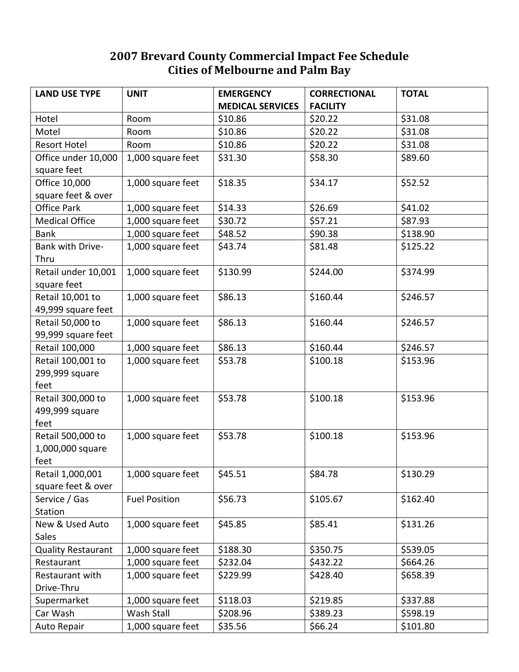## **2007 Brevard County Commercial Impact Fee Schedule Cities of Melbourne and Palm Bay**

| <b>LAND USE TYPE</b>      | <b>UNIT</b>          | <b>EMERGENCY</b>        | <b>CORRECTIONAL</b> | <b>TOTAL</b> |
|---------------------------|----------------------|-------------------------|---------------------|--------------|
|                           |                      | <b>MEDICAL SERVICES</b> | <b>FACILITY</b>     |              |
| Hotel                     | Room                 | \$10.86                 | \$20.22             | \$31.08      |
| Motel                     | Room                 | \$10.86                 | \$20.22             | \$31.08      |
| <b>Resort Hotel</b>       | Room                 | \$10.86                 | \$20.22             | \$31.08      |
| Office under 10,000       | 1,000 square feet    | \$31.30                 | \$58.30             | \$89.60      |
| square feet               |                      |                         |                     |              |
| Office 10,000             | 1,000 square feet    | \$18.35                 | \$34.17             | \$52.52      |
| square feet & over        |                      |                         |                     |              |
| <b>Office Park</b>        | 1,000 square feet    | \$14.33                 | \$26.69             | \$41.02      |
| <b>Medical Office</b>     | 1,000 square feet    | \$30.72                 | \$57.21             | \$87.93      |
| <b>Bank</b>               | 1,000 square feet    | \$48.52                 | \$90.38             | \$138.90     |
| Bank with Drive-          | 1,000 square feet    | \$43.74                 | \$81.48             | \$125.22     |
| Thru                      |                      |                         |                     |              |
| Retail under 10,001       | 1,000 square feet    | \$130.99                | \$244.00            | \$374.99     |
| square feet               |                      |                         |                     |              |
| Retail 10,001 to          | 1,000 square feet    | \$86.13                 | \$160.44            | \$246.57     |
| 49,999 square feet        |                      |                         |                     |              |
| Retail 50,000 to          | 1,000 square feet    | \$86.13                 | \$160.44            | \$246.57     |
| 99,999 square feet        |                      |                         |                     |              |
| Retail 100,000            | 1,000 square feet    | \$86.13                 | \$160.44            | \$246.57     |
| Retail 100,001 to         | 1,000 square feet    | \$53.78                 | \$100.18            | \$153.96     |
| 299,999 square            |                      |                         |                     |              |
| feet                      |                      |                         |                     |              |
| Retail 300,000 to         | 1,000 square feet    | \$53.78                 | \$100.18            | \$153.96     |
| 499,999 square            |                      |                         |                     |              |
| feet                      |                      |                         |                     |              |
| Retail 500,000 to         | 1,000 square feet    | \$53.78                 | \$100.18            | \$153.96     |
| 1,000,000 square          |                      |                         |                     |              |
| feet                      |                      |                         |                     |              |
| Retail 1,000,001          | 1,000 square feet    | \$45.51                 | \$84.78             | \$130.29     |
| square feet & over        |                      |                         |                     |              |
| Service / Gas             | <b>Fuel Position</b> | \$56.73                 | \$105.67            | \$162.40     |
| Station                   |                      |                         |                     |              |
| New & Used Auto           | 1,000 square feet    | \$45.85                 | \$85.41             | \$131.26     |
| Sales                     |                      |                         |                     |              |
| <b>Quality Restaurant</b> | 1,000 square feet    | \$188.30                | \$350.75            | \$539.05     |
| Restaurant                | 1,000 square feet    | \$232.04                | \$432.22            | \$664.26     |
| Restaurant with           | 1,000 square feet    | \$229.99                | \$428.40            | \$658.39     |
| Drive-Thru                |                      |                         |                     |              |
| Supermarket               | 1,000 square feet    | \$118.03                | \$219.85            | \$337.88     |
| Car Wash                  | Wash Stall           | \$208.96                | \$389.23            | \$598.19     |
| Auto Repair               | 1,000 square feet    | \$35.56                 | \$66.24             | \$101.80     |